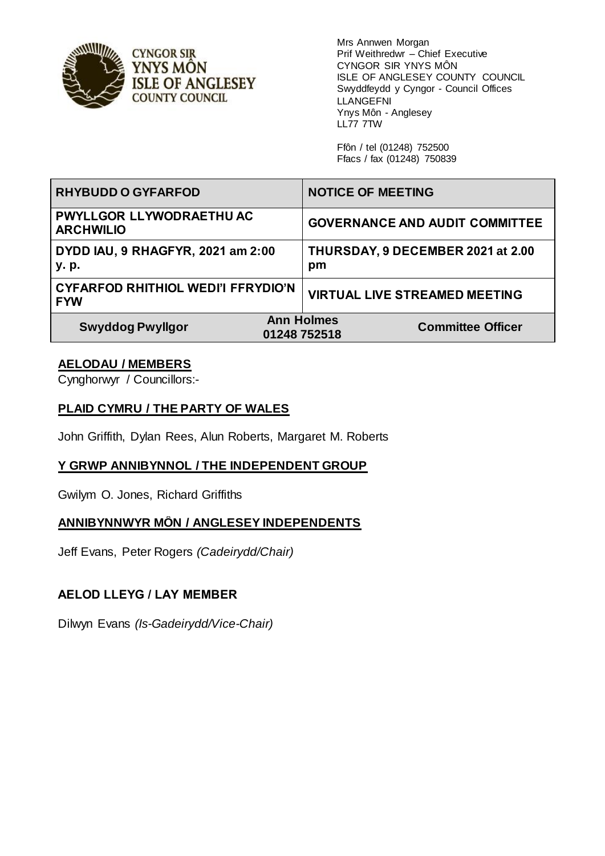

Mrs Annwen Morgan Prif Weithredwr – Chief Executive CYNGOR SIR YNYS MÔN ISLE OF ANGLESEY COUNTY COUNCIL Swyddfeydd y Cyngor - Council Offices LLANGEFNI Ynys Môn - Anglesey LL77 7TW

Ffôn / tel (01248) 752500 Ffacs / fax (01248) 750839

| <b>RHYBUDD O GYFARFOD</b>                               | <b>NOTICE OF MEETING</b>                                      |
|---------------------------------------------------------|---------------------------------------------------------------|
| PWYLLGOR LLYWODRAETHU AC<br><b>ARCHWILIO</b>            | <b>GOVERNANCE AND AUDIT COMMITTEE</b>                         |
| DYDD IAU, 9 RHAGFYR, 2021 am 2:00<br>y. p.              | THURSDAY, 9 DECEMBER 2021 at 2.00<br>pm                       |
| <b>CYFARFOD RHITHIOL WEDI'I FFRYDIO'N</b><br><b>FYW</b> | <b>VIRTUAL LIVE STREAMED MEETING</b>                          |
| <b>Swyddog Pwyllgor</b>                                 | <b>Ann Holmes</b><br><b>Committee Officer</b><br>01248 752518 |

## **AELODAU / MEMBERS**

Cynghorwyr / Councillors:-

#### **PLAID CYMRU / THE PARTY OF WALES**

John Griffith, Dylan Rees, Alun Roberts, Margaret M. Roberts

#### **Y GRWP ANNIBYNNOL / THE INDEPENDENT GROUP**

Gwilym O. Jones, Richard Griffiths

#### **ANNIBYNNWYR MÔN / ANGLESEY INDEPENDENTS**

Jeff Evans, Peter Rogers *(Cadeirydd/Chair)*

#### **AELOD LLEYG / LAY MEMBER**

Dilwyn Evans *(Is-Gadeirydd/Vice-Chair)*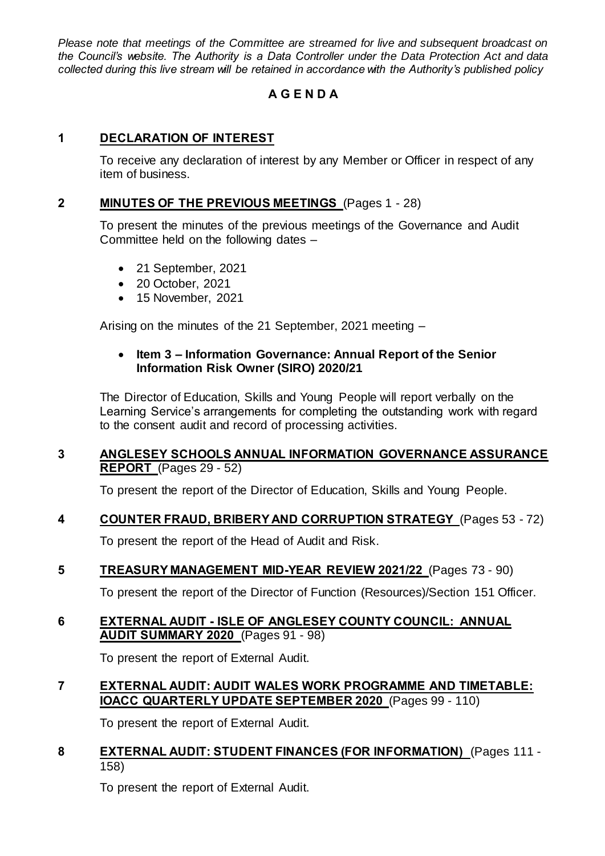*Please note that meetings of the Committee are streamed for live and subsequent broadcast on the Council's website. The Authority is a Data Controller under the Data Protection Act and data collected during this live stream will be retained in accordance with the Authority's published policy*

# **A G E N D A**

# **1 DECLARATION OF INTEREST**

To receive any declaration of interest by any Member or Officer in respect of any item of business.

## **2 MINUTES OF THE PREVIOUS MEETINGS** (Pages 1 - 28)

To present the minutes of the previous meetings of the Governance and Audit Committee held on the following dates –

- 21 September, 2021
- 20 October, 2021
- 15 November, 2021

Arising on the minutes of the 21 September, 2021 meeting –

### **Item 3 – Information Governance: Annual Report of the Senior Information Risk Owner (SIRO) 2020/21**

The Director of Education, Skills and Young People will report verbally on the Learning Service's arrangements for completing the outstanding work with regard to the consent audit and record of processing activities.

## **3 ANGLESEY SCHOOLS ANNUAL INFORMATION GOVERNANCE ASSURANCE REPORT** (Pages 29 - 52)

To present the report of the Director of Education, Skills and Young People.

#### **4 COUNTER FRAUD, BRIBERY AND CORRUPTION STRATEGY** (Pages 53 - 72)

To present the report of the Head of Audit and Risk.

# **5 TREASURY MANAGEMENT MID-YEAR REVIEW 2021/22** (Pages 73 - 90)

To present the report of the Director of Function (Resources)/Section 151 Officer.

#### **6 EXTERNAL AUDIT - ISLE OF ANGLESEY COUNTY COUNCIL: ANNUAL AUDIT SUMMARY 2020** (Pages 91 - 98)

To present the report of External Audit.

# **7 EXTERNAL AUDIT: AUDIT WALES WORK PROGRAMME AND TIMETABLE: IOACC QUARTERLY UPDATE SEPTEMBER 2020** (Pages 99 - 110)

To present the report of External Audit.

#### **8 EXTERNAL AUDIT: STUDENT FINANCES (FOR INFORMATION)** (Pages 111 - 158)

To present the report of External Audit.